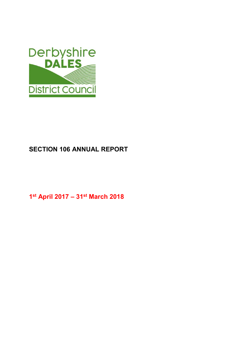

# SECTION 106 ANNUAL REPORT

1 st April 2017 – 31st March 2018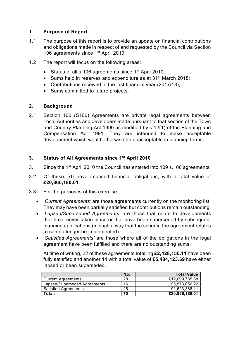## 1. Purpose of Report

- 1.1 The purpose of this report is to provide an update on financial contributions and obligations made in respect of and requested by the Council via Section 106 agreements since 1<sup>st</sup> April 2010.
- 1.2 The report will focus on the following areas:
	- Status of all s.106 agreements since 1<sup>st</sup> April 2010;
	- Sums held in reserves and expenditure as at 31<sup>st</sup> March 2018;
	- Contributions received in the last financial year (2017/18);
	- Sums committed to future projects.

# 2. Background

2.1 Section 106 (S106) Agreements are private legal agreements between Local Authorities and developers made pursuant to that section of the Town and Country Planning Act 1990 as modified by s.12(1) of the Planning and Compensation Act 1991. They are intended to make acceptable development which would otherwise be unacceptable in planning terms.

# 3. Status of All Agreements since 1<sup>st</sup> April 2010

- 3.1 Since the 1st April 2010 the Council has entered into 109 s.106 agreements.
- 3.2 Of these, 70 have imposed financial obligations, with a total value of £20,866,180.01.
- 3.3 For the purposes of this exercise:
	- 'Current Agreements' are those agreements currently on the monitoring list. They may have been partially satisfied but contributions remain outstanding.
	- 'Lapsed/Superseded Agreements' are those that relate to developments that have never taken place or that have been superseded by subsequent planning applications (in such a way that the scheme the agreement relates to can no longer be implemented).
	- 'Satisfied Agreements' are those where all of the obligations in the legal agreement have been fulfilled and there are no outstanding sums.

At time of writing, 22 of these agreements totalling £2,428,156.11 have been fully satisfied and another 14 with a total value of £5,484,123.69 have either lapsed or been superseded.

|                              | No. | <b>Total Value</b> |
|------------------------------|-----|--------------------|
| <b>Current Agreements</b>    | 28  | £12.699.735.68     |
| Lapsed/Superseded Agreements | 16  | £5.573.056.22      |
| <b>Satisfied Agreements</b>  | 26  | £2.623.388.11      |
| Total:                       | 70  | £20,866,180.01     |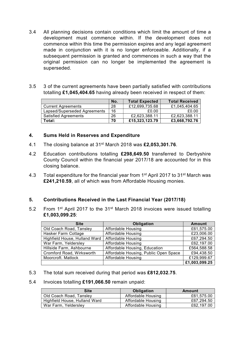- 3.4 All planning decisions contain conditions which limit the amount of time a development must commence within. If the development does not commence within this time the permission expires and any legal agreement made in conjunction with it is no longer enforceable. Additionally, if a subsequent permission is granted and commences in such a way that the original permission can no longer be implemented the agreement is superseded.
- 3.5 3 of the current agreements have been partially satisfied with contributions totalling £1,045,404.65 having already been received in respect of them:

|                              | No. | <b>Total Expected</b> | <b>Total Received</b> |
|------------------------------|-----|-----------------------|-----------------------|
| <b>Current Agreements</b>    | 28  | £12,699,735.68        | £1,045,404.65         |
| Lapsed/Superseded Agreements | 16  | £0.00                 | £0.00                 |
| <b>Satisfied Agreements</b>  | 26  | £2,623,388.11         | £2,623,388.11         |
| Total:                       | 70  | £15,323,123.79        | £3,668,792.76         |

#### 4. Sums Held in Reserves and Expenditure

- 4.1 The closing balance at 31<sup>st</sup> March 2018 was £2,053,301.76.
- 4.2 Education contributions totalling £298,649.50 transferred to Derbyshire County Council within the financial year 2017/18 are accounted for in this closing balance.
- 4.3 Total expenditure for the financial year from 1<sup>st</sup> April 2017 to 31<sup>st</sup> March was £241,210.59, all of which was from Affordable Housing monies.

### 5. Contributions Received in the Last Financial Year (2017/18)

5.2 From 1<sup>st</sup> April 2017 to the 31<sup>st</sup> March 2018 invoices were issued totalling £1,003,099.25:

| <b>Site</b>                   | Obligation                            | <b>Amount</b> |
|-------------------------------|---------------------------------------|---------------|
| Old Coach Road, Tansley       | <b>Affordable Housing</b>             | £61,575.00    |
| Hasker Farm Cottage           | <b>Affordable Housing</b>             | £23,006.00    |
| Highfield House, Hulland Ward | <b>Affordable Housing</b>             | £67,294.50    |
| War Farm, Yeldersley          | Affordable Housing                    | £62,197.00    |
| Hillside Farm, Ashbourne      | Affordable Housing, Education         | £564,588.58   |
| Cromford Road, Wirksworth     | Affordable Housing, Public Open Space | £94,438.50    |
| Moorcroft. Matlock            | Affordable Housing                    | £129,999.67   |
|                               |                                       | £1,003,099.25 |

5.3 The total sum received during that period was £812,032.75.

#### 5.4 Invoices totalling £191,066.50 remain unpaid:

| Site                          | Obligation         | Amount     |
|-------------------------------|--------------------|------------|
| Old Coach Road, Tansley       | Affordable Housing | £61.575.00 |
| Highfield House, Hulland Ward | Affordable Housing | £67.294.50 |
| War Farm, Yelderslev          | Affordable Housing | £62,197.00 |